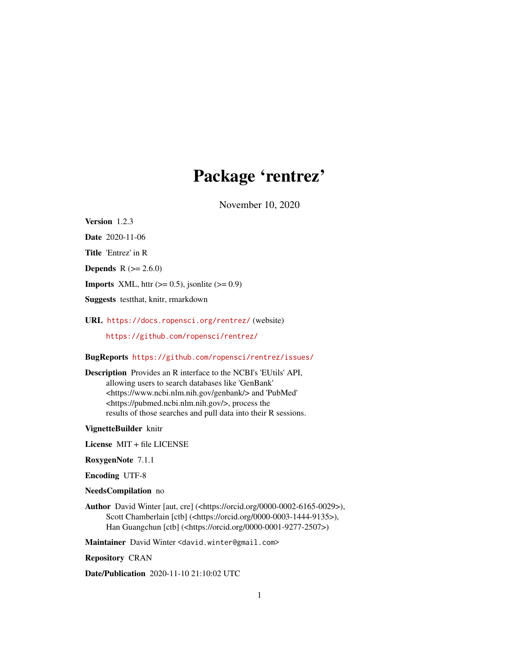# Package 'rentrez'

November 10, 2020

<span id="page-0-0"></span>Version 1.2.3

Date 2020-11-06

Title 'Entrez' in R

**Depends**  $R (= 2.6.0)$ 

**Imports** XML, httr  $(>= 0.5)$ , jsonlite  $(>= 0.9)$ 

Suggests testthat, knitr, rmarkdown

URL <https://docs.ropensci.org/rentrez/> (website)

<https://github.com/ropensci/rentrez/>

BugReports <https://github.com/ropensci/rentrez/issues/>

Description Provides an R interface to the NCBI's 'EUtils' API, allowing users to search databases like 'GenBank' <https://www.ncbi.nlm.nih.gov/genbank/> and 'PubMed' <https://pubmed.ncbi.nlm.nih.gov/>, process the results of those searches and pull data into their R sessions.

VignetteBuilder knitr

License MIT + file LICENSE

RoxygenNote 7.1.1

Encoding UTF-8

NeedsCompilation no

Author David Winter [aut, cre] (<https://orcid.org/0000-0002-6165-0029>), Scott Chamberlain [ctb] (<https://orcid.org/0000-0003-1444-9135>), Han Guangchun [ctb] (<https://orcid.org/0000-0001-9277-2507>)

Maintainer David Winter <david.winter@gmail.com>

Repository CRAN

Date/Publication 2020-11-10 21:10:02 UTC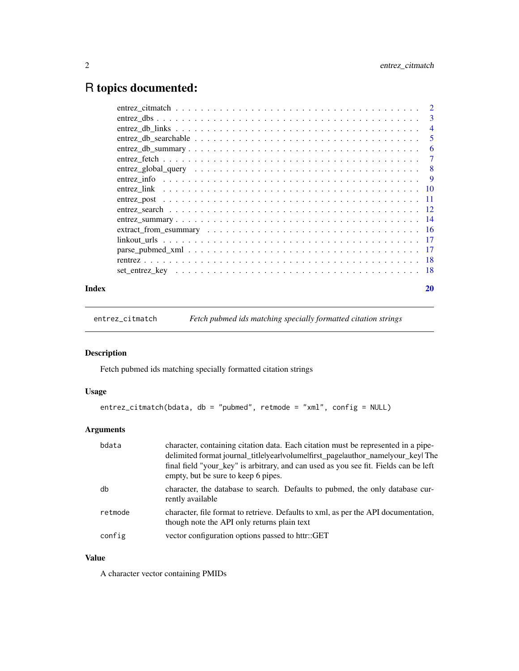# <span id="page-1-0"></span>R topics documented:

|       |                                                                                                                 | 3              |
|-------|-----------------------------------------------------------------------------------------------------------------|----------------|
|       |                                                                                                                 | $\overline{4}$ |
|       |                                                                                                                 | 5              |
|       | $entrez\_db\_summary \dots \dots \dots \dots \dots \dots \dots \dots \dots \dots \dots \dots \dots \dots \dots$ | 6              |
|       |                                                                                                                 | $\tau$         |
|       |                                                                                                                 |                |
|       |                                                                                                                 |                |
|       |                                                                                                                 |                |
|       |                                                                                                                 |                |
|       |                                                                                                                 |                |
|       |                                                                                                                 |                |
|       |                                                                                                                 |                |
|       |                                                                                                                 |                |
|       |                                                                                                                 |                |
|       |                                                                                                                 |                |
|       |                                                                                                                 |                |
| Index |                                                                                                                 | 20             |

entrez\_citmatch *Fetch pubmed ids matching specially formatted citation strings*

# Description

Fetch pubmed ids matching specially formatted citation strings

# Usage

```
entrez_citmatch(bdata, db = "pubmed", retmode = "xml", config = NULL)
```
# Arguments

| bdata   | character, containing citation data. Each citation must be represented in a pipe-<br>delimited format journal_titlelyearlvolumelfirst_pagelauthor_namelyour_keyl The<br>final field "your_key" is arbitrary, and can used as you see fit. Fields can be left<br>empty, but be sure to keep 6 pipes. |
|---------|-----------------------------------------------------------------------------------------------------------------------------------------------------------------------------------------------------------------------------------------------------------------------------------------------------|
| db      | character, the database to search. Defaults to pubmed, the only database cur-<br>rently available                                                                                                                                                                                                   |
| retmode | character, file format to retrieve. Defaults to xml, as per the API documentation,<br>though note the API only returns plain text                                                                                                                                                                   |
| config  | vector configuration options passed to httr::GET                                                                                                                                                                                                                                                    |

# Value

A character vector containing PMIDs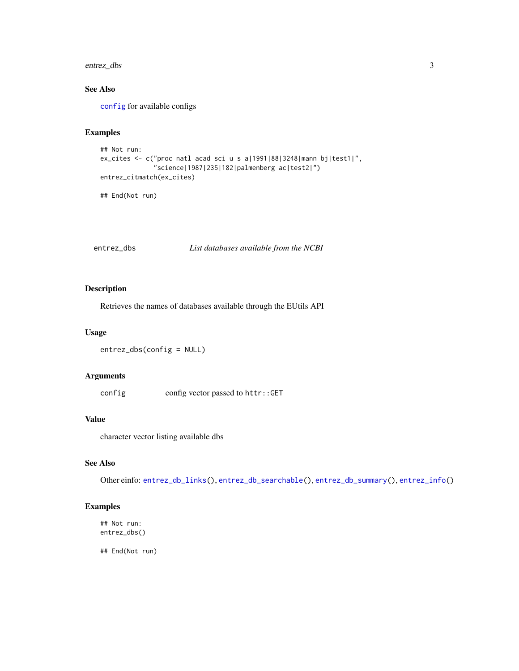# <span id="page-2-0"></span>entrez\_dbs 3

# See Also

[config](#page-0-0) for available configs

# Examples

```
## Not run:
ex_cites <- c("proc natl acad sci u s a|1991|88|3248|mann bj|test1|",
              "science|1987|235|182|palmenberg ac|test2|")
entrez_citmatch(ex_cites)
```
## End(Not run)

<span id="page-2-1"></span>entrez\_dbs *List databases available from the NCBI*

# Description

Retrieves the names of databases available through the EUtils API

# Usage

```
entrez_dbs(config = NULL)
```
# Arguments

config config vector passed to httr::GET

# Value

character vector listing available dbs

# See Also

Other einfo: [entrez\\_db\\_links\(](#page-3-1)), [entrez\\_db\\_searchable\(](#page-4-1)), [entrez\\_db\\_summary\(](#page-5-1)), [entrez\\_info\(](#page-8-1))

# Examples

```
## Not run:
entrez_dbs()
```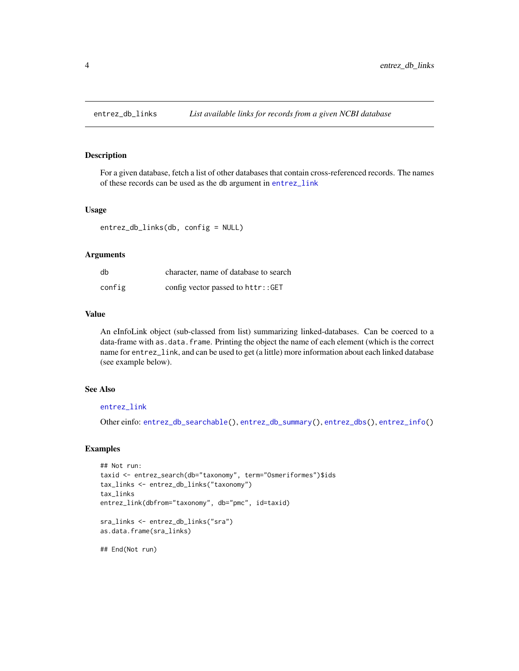<span id="page-3-1"></span><span id="page-3-0"></span>

For a given database, fetch a list of other databases that contain cross-referenced records. The names of these records can be used as the db argument in [entrez\\_link](#page-9-1)

#### Usage

```
entrez_db_links(db, config = NULL)
```
#### Arguments

| db     | character, name of database to search |
|--------|---------------------------------------|
| config | config vector passed to httr::GET     |

# Value

An eInfoLink object (sub-classed from list) summarizing linked-databases. Can be coerced to a data-frame with as.data.frame. Printing the object the name of each element (which is the correct name for entrez\_link, and can be used to get (a little) more information about each linked database (see example below).

# See Also

# [entrez\\_link](#page-9-1)

Other einfo: [entrez\\_db\\_searchable\(](#page-4-1)), [entrez\\_db\\_summary\(](#page-5-1)), [entrez\\_dbs\(](#page-2-1)), [entrez\\_info\(](#page-8-1))

#### Examples

```
## Not run:
taxid <- entrez_search(db="taxonomy", term="Osmeriformes")$ids
tax_links <- entrez_db_links("taxonomy")
tax_links
entrez_link(dbfrom="taxonomy", db="pmc", id=taxid)
sra_links <- entrez_db_links("sra")
as.data.frame(sra_links)
```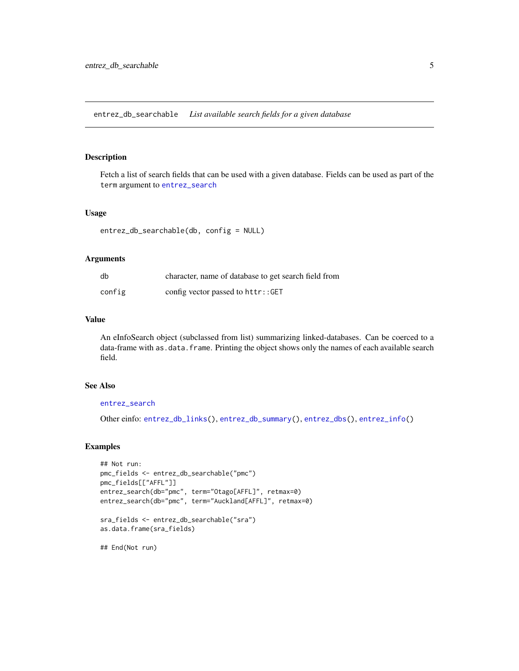<span id="page-4-1"></span><span id="page-4-0"></span>entrez\_db\_searchable *List available search fields for a given database*

# Description

Fetch a list of search fields that can be used with a given database. Fields can be used as part of the term argument to [entrez\\_search](#page-11-1)

#### Usage

```
entrez_db_searchable(db, config = NULL)
```
# Arguments

| db     | character, name of database to get search field from |
|--------|------------------------------------------------------|
| config | config vector passed to httr::GET                    |

#### Value

An eInfoSearch object (subclassed from list) summarizing linked-databases. Can be coerced to a data-frame with as.data.frame. Printing the object shows only the names of each available search field.

# See Also

# [entrez\\_search](#page-11-1)

Other einfo: [entrez\\_db\\_links\(](#page-3-1)), [entrez\\_db\\_summary\(](#page-5-1)), [entrez\\_dbs\(](#page-2-1)), [entrez\\_info\(](#page-8-1))

# Examples

```
## Not run:
pmc_fields <- entrez_db_searchable("pmc")
pmc_fields[["AFFL"]]
entrez_search(db="pmc", term="Otago[AFFL]", retmax=0)
entrez_search(db="pmc", term="Auckland[AFFL]", retmax=0)
sra_fields <- entrez_db_searchable("sra")
as.data.frame(sra_fields)
```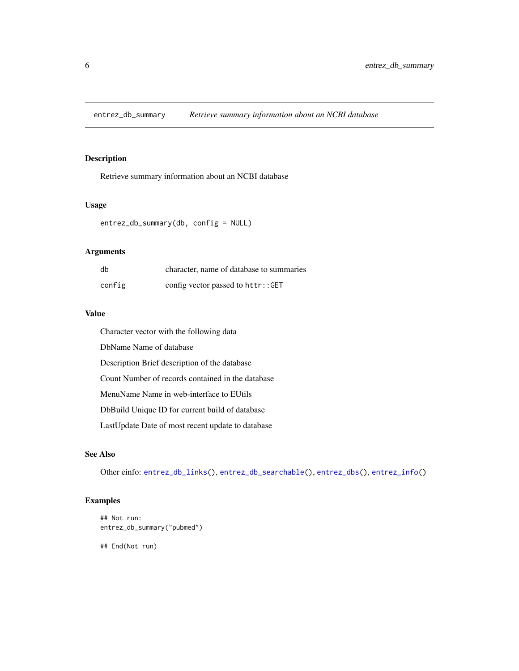<span id="page-5-1"></span><span id="page-5-0"></span>entrez\_db\_summary *Retrieve summary information about an NCBI database*

# Description

Retrieve summary information about an NCBI database

# Usage

```
entrez_db_summary(db, config = NULL)
```
# Arguments

| db     | character, name of database to summaries |
|--------|------------------------------------------|
| config | config vector passed to httr::GET        |

# Value

Character vector with the following data DbName Name of database Description Brief description of the database Count Number of records contained in the database MenuName Name in web-interface to EUtils DbBuild Unique ID for current build of database LastUpdate Date of most recent update to database

# See Also

Other einfo: [entrez\\_db\\_links\(](#page-3-1)), [entrez\\_db\\_searchable\(](#page-4-1)), [entrez\\_dbs\(](#page-2-1)), [entrez\\_info\(](#page-8-1))

# Examples

```
## Not run:
entrez_db_summary("pubmed")
```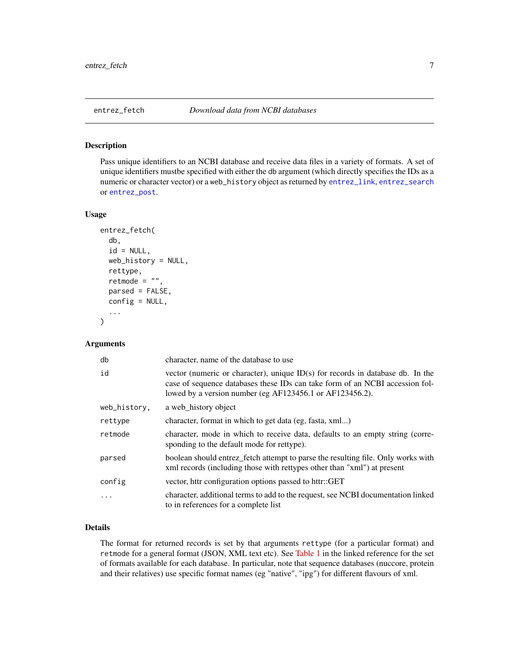<span id="page-6-1"></span><span id="page-6-0"></span>

Pass unique identifiers to an NCBI database and receive data files in a variety of formats. A set of unique identifiers mustbe specified with either the db argument (which directly specifies the IDs as a numeric or character vector) or a web\_history object as returned by [entrez\\_link](#page-9-1), [entrez\\_search](#page-11-1) or [entrez\\_post](#page-10-1).

#### Usage

```
entrez_fetch(
  db,
  id = NULL,web_history = NULL,
  rettype,
  retmode = "",parsed = FALSE,
  config = NULL,
  ...
\mathcal{E}
```
# Arguments

| db           | character, name of the database to use                                                                                                                                                                                       |
|--------------|------------------------------------------------------------------------------------------------------------------------------------------------------------------------------------------------------------------------------|
| id           | vector (numeric or character), unique $ID(s)$ for records in database db. In the<br>case of sequence databases these IDs can take form of an NCBI accession fol-<br>lowed by a version number (eg AF123456.1 or AF123456.2). |
| web_history, | a web history object                                                                                                                                                                                                         |
| rettype      | character, format in which to get data (eg, fasta, xml)                                                                                                                                                                      |
| retmode      | character, mode in which to receive data, defaults to an empty string (corre-<br>sponding to the default mode for rettype).                                                                                                  |
| parsed       | boolean should entrez_fetch attempt to parse the resulting file. Only works with<br>xml records (including those with rettypes other than "xml") at present                                                                  |
| config       | vector, httr configuration options passed to httr::GET                                                                                                                                                                       |
| $\ddotsc$    | character, additional terms to add to the request, see NCBI documentation linked<br>to in references for a complete list                                                                                                     |

# Details

The format for returned records is set by that arguments rettype (for a particular format) and retmode for a general format (JSON, XML text etc). See [Table 1](https://www.ncbi.nlm.nih.gov/books/NBK25499/table/chapter4.T._valid_values_of__retmode_and/) in the linked reference for the set of formats available for each database. In particular, note that sequence databases (nuccore, protein and their relatives) use specific format names (eg "native", "ipg") for different flavours of xml.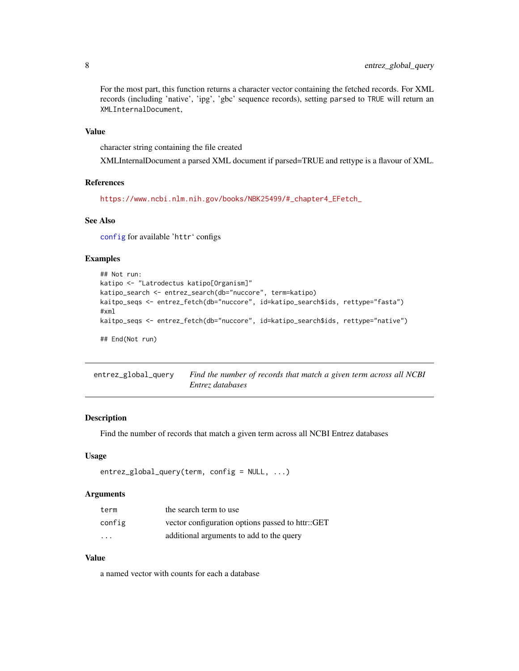<span id="page-7-0"></span>For the most part, this function returns a character vector containing the fetched records. For XML records (including 'native', 'ipg', 'gbc' sequence records), setting parsed to TRUE will return an XMLInternalDocument,

# Value

character string containing the file created

XMLInternalDocument a parsed XML document if parsed=TRUE and rettype is a flavour of XML.

#### References

[https://www.ncbi.nlm.nih.gov/books/NBK25499/#\\_chapter4\\_EFetch\\_](https://www.ncbi.nlm.nih.gov/books/NBK25499/#_chapter4_EFetch_)

# See Also

[config](#page-0-0) for available 'httr' configs

# Examples

```
## Not run:
katipo <- "Latrodectus katipo[Organism]"
katipo_search <- entrez_search(db="nuccore", term=katipo)
kaitpo_seqs <- entrez_fetch(db="nuccore", id=katipo_search$ids, rettype="fasta")
#xml
kaitpo_seqs <- entrez_fetch(db="nuccore", id=katipo_search$ids, rettype="native")
## End(Not run)
```

| entrez_global_query | Find the number of records that match a given term across all NCBI |
|---------------------|--------------------------------------------------------------------|
|                     | Entrez databases                                                   |

# Description

Find the number of records that match a given term across all NCBI Entrez databases

# Usage

```
entrez_global_query(term, config = NULL, ...)
```
#### Arguments

| term                    | the search term to use                           |
|-------------------------|--------------------------------------------------|
| config                  | vector configuration options passed to httr::GET |
| $\cdot$ $\cdot$ $\cdot$ | additional arguments to add to the query         |

# Value

a named vector with counts for each a database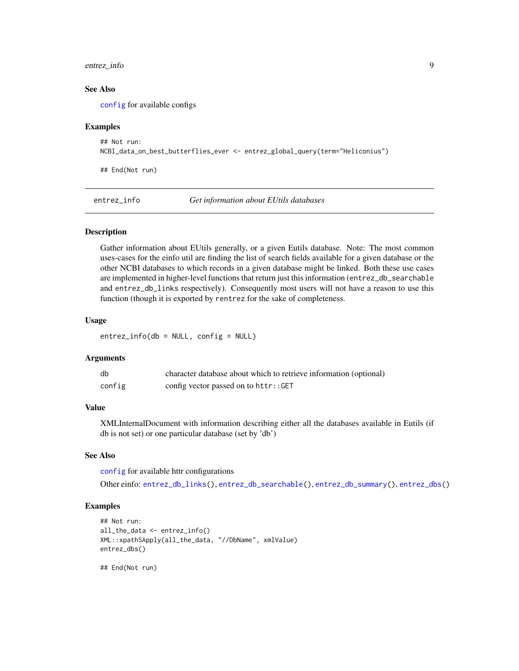# <span id="page-8-0"></span>entrez\_info 9

### See Also

[config](#page-0-0) for available configs

# Examples

```
## Not run:
NCBI_data_on_best_butterflies_ever <- entrez_global_query(term="Heliconius")
```
## End(Not run)

<span id="page-8-1"></span>entrez\_info *Get information about EUtils databases*

# Description

Gather information about EUtils generally, or a given Eutils database. Note: The most common uses-cases for the einfo util are finding the list of search fields available for a given database or the other NCBI databases to which records in a given database might be linked. Both these use cases are implemented in higher-level functions that return just this information (entrez\_db\_searchable and entrez\_db\_links respectively). Consequently most users will not have a reason to use this function (though it is exported by rentrez for the sake of completeness.

# Usage

entrez\_info(db = NULL, config = NULL)

# Arguments

| db     | character database about which to retrieve information (optional) |
|--------|-------------------------------------------------------------------|
| config | config vector passed on to httr::GET                              |

#### Value

XMLInternalDocument with information describing either all the databases available in Eutils (if db is not set) or one particular database (set by 'db')

### See Also

[config](#page-0-0) for available httr configurations

Other einfo: [entrez\\_db\\_links\(](#page-3-1)), [entrez\\_db\\_searchable\(](#page-4-1)), [entrez\\_db\\_summary\(](#page-5-1)), [entrez\\_dbs\(](#page-2-1))

# Examples

```
## Not run:
all_the_data <- entrez_info()
XML::xpathSApply(all_the_data, "//DbName", xmlValue)
entrez_dbs()
```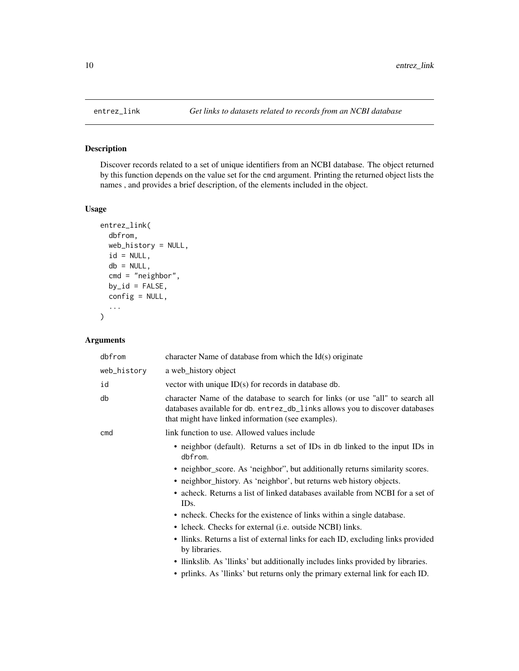Discover records related to a set of unique identifiers from an NCBI database. The object returned by this function depends on the value set for the cmd argument. Printing the returned object lists the names , and provides a brief description, of the elements included in the object.

# Usage

```
entrez_link(
  dbfrom,
  web_history = NULL,
  id = NULL,db = NULL,cmd = "neighbor",
 by_id = FALSE,config = NULL,
  ...
)
```
# Arguments

| dbfrom      | character Name of database from which the $Id(s)$ originate                                                                                                                                                          |
|-------------|----------------------------------------------------------------------------------------------------------------------------------------------------------------------------------------------------------------------|
| web_history | a web_history object                                                                                                                                                                                                 |
| id          | vector with unique $ID(s)$ for records in database db.                                                                                                                                                               |
| db          | character Name of the database to search for links (or use "all" to search all<br>databases available for db. entrez_db_links allows you to discover databases<br>that might have linked information (see examples). |
| cmd         | link function to use. Allowed values include                                                                                                                                                                         |
|             | • neighbor (default). Returns a set of IDs in db linked to the input IDs in<br>dbfrom.                                                                                                                               |
|             | • neighbor_score. As 'neighbor'', but additionally returns similarity scores.                                                                                                                                        |
|             | • neighbor_history. As 'neighbor', but returns web history objects.                                                                                                                                                  |
|             | • acheck. Returns a list of linked databases available from NCBI for a set of<br>IDs.                                                                                                                                |
|             | • ncheck. Checks for the existence of links within a single database.                                                                                                                                                |
|             | • Icheck. Checks for external ( <i>i.e.</i> outside NCBI) links.                                                                                                                                                     |
|             | • Ilinks. Returns a list of external links for each ID, excluding links provided<br>by libraries.                                                                                                                    |
|             | • Ilinkslib. As 'llinks' but additionally includes links provided by libraries.                                                                                                                                      |
|             | • prlinks. As 'llinks' but returns only the primary external link for each ID.                                                                                                                                       |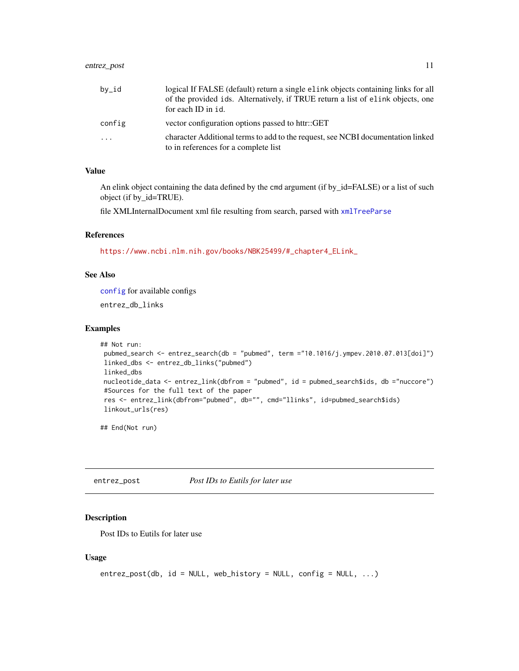# <span id="page-10-0"></span>entrez\_post 11

| by_id    | logical If FALSE (default) return a single elink objects containing links for all<br>of the provided ids. Alternatively, if TRUE return a list of elink objects, one |
|----------|----------------------------------------------------------------------------------------------------------------------------------------------------------------------|
|          | for each ID in id.                                                                                                                                                   |
| config   | vector configuration options passed to httr::GET                                                                                                                     |
| $\cdots$ | character Additional terms to add to the request, see NCBI documentation linked<br>to in references for a complete list                                              |

# Value

An elink object containing the data defined by the cmd argument (if by\_id=FALSE) or a list of such object (if by\_id=TRUE).

file XMLInternalDocument xml file resulting from search, parsed with [xmlTreeParse](#page-0-0)

#### References

[https://www.ncbi.nlm.nih.gov/books/NBK25499/#\\_chapter4\\_ELink\\_](https://www.ncbi.nlm.nih.gov/books/NBK25499/#_chapter4_ELink_)

# See Also

[config](#page-0-0) for available configs

entrez\_db\_links

#### Examples

```
## Not run:
pubmed_search <- entrez_search(db = "pubmed", term ="10.1016/j.ympev.2010.07.013[doi]")
linked_dbs <- entrez_db_links("pubmed")
linked_dbs
nucleotide_data <- entrez_link(dbfrom = "pubmed", id = pubmed_search$ids, db ="nuccore")
#Sources for the full text of the paper
res <- entrez_link(dbfrom="pubmed", db="", cmd="llinks", id=pubmed_search$ids)
linkout_urls(res)
```
## End(Not run)

<span id="page-10-1"></span>entrez\_post *Post IDs to Eutils for later use*

# Description

Post IDs to Eutils for later use

#### Usage

```
entrez\_post(db, id = NULL, web\_history = NULL, config = NULL, ...)
```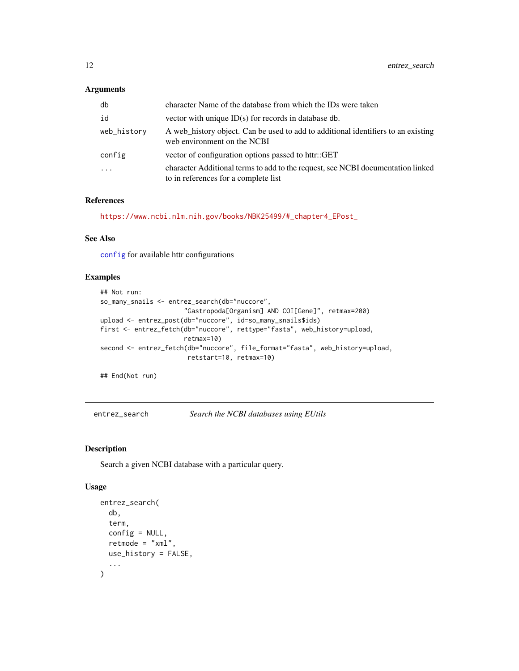### <span id="page-11-0"></span>Arguments

| db          | character Name of the database from which the IDs were taken                                                            |
|-------------|-------------------------------------------------------------------------------------------------------------------------|
| id          | vector with unique $ID(s)$ for records in database db.                                                                  |
| web_history | A web history object. Can be used to add to additional identifiers to an existing<br>web environment on the NCBI        |
| config      | vector of configuration options passed to httr::GET                                                                     |
| $\ddots$ .  | character Additional terms to add to the request, see NCBI documentation linked<br>to in references for a complete list |

# References

[https://www.ncbi.nlm.nih.gov/books/NBK25499/#\\_chapter4\\_EPost\\_](https://www.ncbi.nlm.nih.gov/books/NBK25499/#_chapter4_EPost_)

# See Also

[config](#page-0-0) for available httr configurations

# Examples

```
## Not run:
so_many_snails <- entrez_search(db="nuccore",
                      "Gastropoda[Organism] AND COI[Gene]", retmax=200)
upload <- entrez_post(db="nuccore", id=so_many_snails$ids)
first <- entrez_fetch(db="nuccore", rettype="fasta", web_history=upload,
                      retmax=10)
second <- entrez_fetch(db="nuccore", file_format="fasta", web_history=upload,
                       retstart=10, retmax=10)
```
## End(Not run)

<span id="page-11-1"></span>entrez\_search *Search the NCBI databases using EUtils*

# Description

Search a given NCBI database with a particular query.

### Usage

```
entrez_search(
  db,
  term,
  config = NULL,
  retmode = "xml",use_history = FALSE,
  ...
\mathcal{E}
```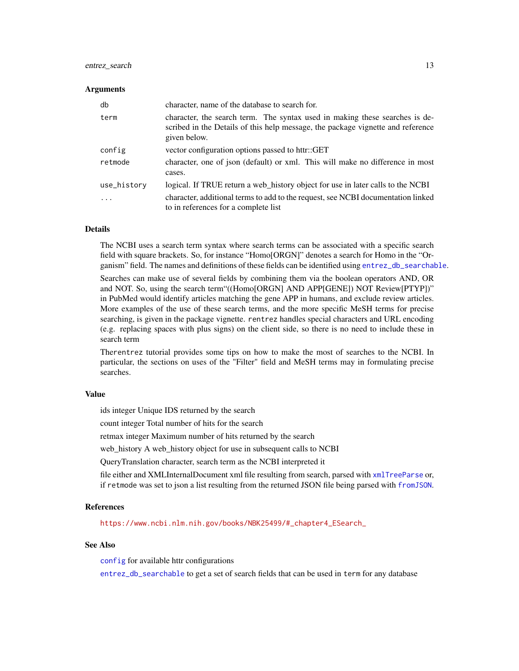#### <span id="page-12-0"></span>entrez\_search 13

#### Arguments

| db                      | character, name of the database to search for.                                                                                                                                 |
|-------------------------|--------------------------------------------------------------------------------------------------------------------------------------------------------------------------------|
| term                    | character, the search term. The syntax used in making these searches is de-<br>scribed in the Details of this help message, the package vignette and reference<br>given below. |
| config                  | vector configuration options passed to httr::GET                                                                                                                               |
| retmode                 | character, one of json (default) or xml. This will make no difference in most<br>cases.                                                                                        |
| use_history             | logical. If TRUE return a web_history object for use in later calls to the NCBI                                                                                                |
| $\cdot$ $\cdot$ $\cdot$ | character, additional terms to add to the request, see NCBI documentation linked<br>to in references for a complete list                                                       |

# Details

The NCBI uses a search term syntax where search terms can be associated with a specific search field with square brackets. So, for instance "Homo[ORGN]" denotes a search for Homo in the "Organism" field. The names and definitions of these fields can be identified using [entrez\\_db\\_searchable](#page-4-1).

Searches can make use of several fields by combining them via the boolean operators AND, OR and NOT. So, using the search term"((Homo[ORGN] AND APP[GENE]) NOT Review[PTYP])" in PubMed would identify articles matching the gene APP in humans, and exclude review articles. More examples of the use of these search terms, and the more specific MeSH terms for precise searching, is given in the package vignette. rentrez handles special characters and URL encoding (e.g. replacing spaces with plus signs) on the client side, so there is no need to include these in search term

Therentrez tutorial provides some tips on how to make the most of searches to the NCBI. In particular, the sections on uses of the "Filter" field and MeSH terms may in formulating precise searches.

# Value

ids integer Unique IDS returned by the search

count integer Total number of hits for the search

retmax integer Maximum number of hits returned by the search

web history A web history object for use in subsequent calls to NCBI

QueryTranslation character, search term as the NCBI interpreted it

file either and XMLInternalDocument xml file resulting from search, parsed with [xmlTreeParse](#page-0-0) or, if retmode was set to json a list resulting from the returned JSON file being parsed with [fromJSON](#page-0-0).

# References

[https://www.ncbi.nlm.nih.gov/books/NBK25499/#\\_chapter4\\_ESearch\\_](https://www.ncbi.nlm.nih.gov/books/NBK25499/#_chapter4_ESearch_)

# See Also

[config](#page-0-0) for available httr configurations

[entrez\\_db\\_searchable](#page-4-1) to get a set of search fields that can be used in term for any database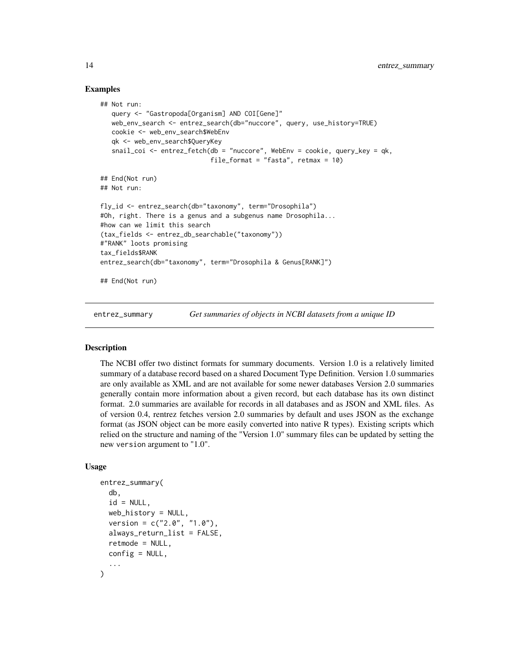# Examples

```
## Not run:
  query <- "Gastropoda[Organism] AND COI[Gene]"
  web_env_search <- entrez_search(db="nuccore", query, use_history=TRUE)
  cookie <- web_env_search$WebEnv
  qk <- web_env_search$QueryKey
  snail_coi <- entrez_fetch(db = "nuccore", WebEnv = cookie, query_key = qk,
                             file_format = "fasta", return = 10)
## End(Not run)
## Not run:
fly_id <- entrez_search(db="taxonomy", term="Drosophila")
#Oh, right. There is a genus and a subgenus name Drosophila...
#how can we limit this search
(tax_fields <- entrez_db_searchable("taxonomy"))
#"RANK" loots promising
tax_fields$RANK
entrez_search(db="taxonomy", term="Drosophila & Genus[RANK]")
## End(Not run)
```
<span id="page-13-1"></span>entrez\_summary *Get summaries of objects in NCBI datasets from a unique ID*

# Description

The NCBI offer two distinct formats for summary documents. Version 1.0 is a relatively limited summary of a database record based on a shared Document Type Definition. Version 1.0 summaries are only available as XML and are not available for some newer databases Version 2.0 summaries generally contain more information about a given record, but each database has its own distinct format. 2.0 summaries are available for records in all databases and as JSON and XML files. As of version 0.4, rentrez fetches version 2.0 summaries by default and uses JSON as the exchange format (as JSON object can be more easily converted into native R types). Existing scripts which relied on the structure and naming of the "Version 1.0" summary files can be updated by setting the new version argument to "1.0".

#### Usage

```
entrez_summary(
  db,
  id = NULL,web_history = NULL,
  version = c("2.0", "1.0"),
  always_return_list = FALSE,
  retmode = NULL,
 config = NULL,...
)
```
<span id="page-13-0"></span>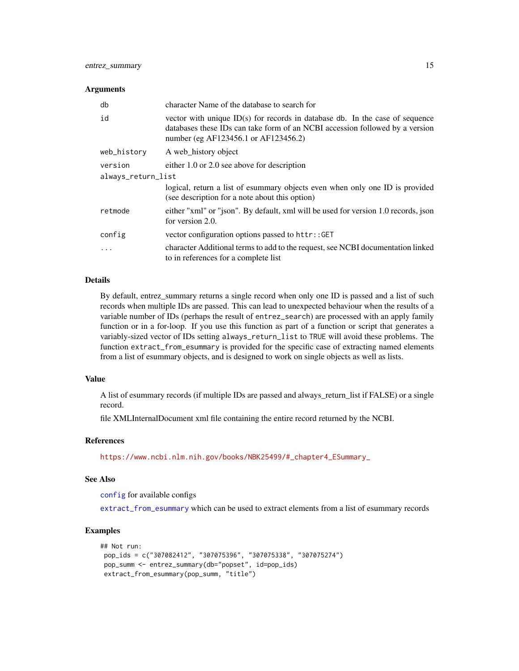#### <span id="page-14-0"></span>**Arguments**

| db                 | character Name of the database to search for                                                                                                                                                           |  |
|--------------------|--------------------------------------------------------------------------------------------------------------------------------------------------------------------------------------------------------|--|
| id                 | vector with unique $ID(s)$ for records in database db. In the case of sequence<br>databases these IDs can take form of an NCBI accession followed by a version<br>number (eg AF123456.1 or AF123456.2) |  |
| web_history        | A web history object                                                                                                                                                                                   |  |
| version            | either 1.0 or 2.0 see above for description                                                                                                                                                            |  |
| always_return_list |                                                                                                                                                                                                        |  |
|                    | logical, return a list of esummary objects even when only one ID is provided<br>(see description for a note about this option)                                                                         |  |
| retmode            | either "xml" or "json". By default, xml will be used for version 1.0 records, json<br>for version 2.0.                                                                                                 |  |
| config             | vector configuration options passed to httr::GET                                                                                                                                                       |  |
| .                  | character Additional terms to add to the request, see NCBI documentation linked<br>to in references for a complete list                                                                                |  |

# Details

By default, entrez\_summary returns a single record when only one ID is passed and a list of such records when multiple IDs are passed. This can lead to unexpected behaviour when the results of a variable number of IDs (perhaps the result of entrez\_search) are processed with an apply family function or in a for-loop. If you use this function as part of a function or script that generates a variably-sized vector of IDs setting always\_return\_list to TRUE will avoid these problems. The function extract\_from\_esummary is provided for the specific case of extracting named elements from a list of esummary objects, and is designed to work on single objects as well as lists.

# Value

A list of esummary records (if multiple IDs are passed and always\_return\_list if FALSE) or a single record.

file XMLInternalDocument xml file containing the entire record returned by the NCBI.

# References

[https://www.ncbi.nlm.nih.gov/books/NBK25499/#\\_chapter4\\_ESummary\\_](https://www.ncbi.nlm.nih.gov/books/NBK25499/#_chapter4_ESummary_)

#### See Also

[config](#page-0-0) for available configs

[extract\\_from\\_esummary](#page-15-1) which can be used to extract elements from a list of esummary records

# Examples

```
## Not run:
pop_ids = c("307082412", "307075396", "307075338", "307075274")
pop_summ <- entrez_summary(db="popset", id=pop_ids)
extract_from_esummary(pop_summ, "title")
```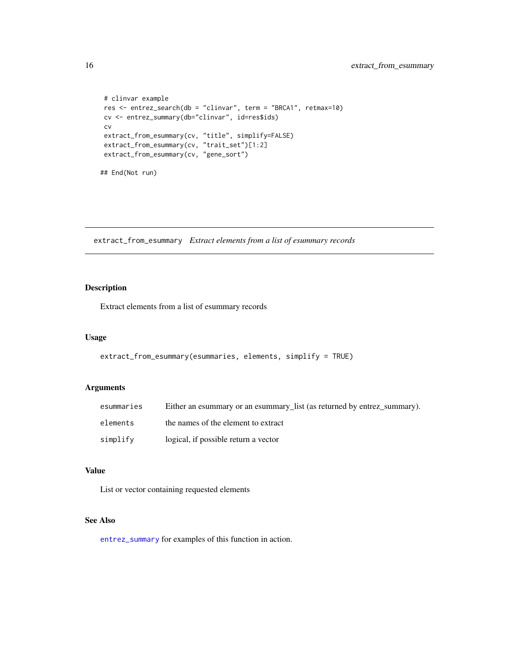```
# clinvar example
res <- entrez_search(db = "clinvar", term = "BRCA1", retmax=10)
cv <- entrez_summary(db="clinvar", id=res$ids)
cv
extract_from_esummary(cv, "title", simplify=FALSE)
extract_from_esummary(cv, "trait_set")[1:2]
extract_from_esummary(cv, "gene_sort")
## End(Not run)
```
<span id="page-15-1"></span>extract\_from\_esummary *Extract elements from a list of esummary records*

# Description

Extract elements from a list of esummary records

#### Usage

```
extract_from_esummary(esummaries, elements, simplify = TRUE)
```
# Arguments

| esummaries | Either an esummary or an esummary_list (as returned by entrez_summary). |
|------------|-------------------------------------------------------------------------|
| elements   | the names of the element to extract                                     |
| simplify   | logical, if possible return a vector                                    |

# Value

List or vector containing requested elements

# See Also

[entrez\\_summary](#page-13-1) for examples of this function in action.

<span id="page-15-0"></span>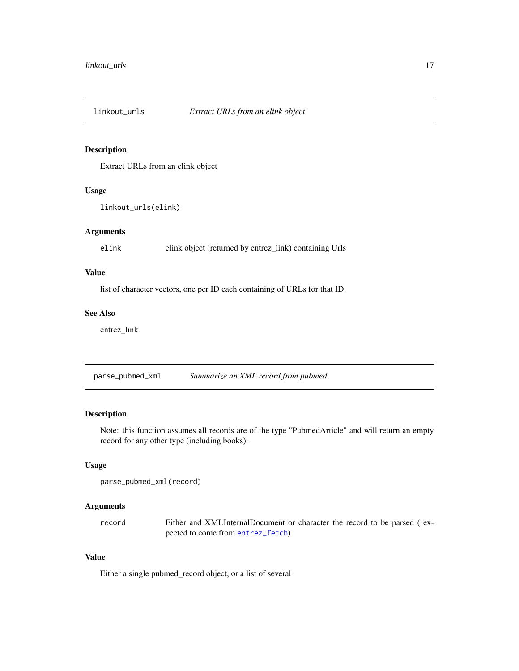<span id="page-16-0"></span>

Extract URLs from an elink object

# Usage

```
linkout_urls(elink)
```
# Arguments

elink elink object (returned by entrez\_link) containing Urls

# Value

list of character vectors, one per ID each containing of URLs for that ID.

# See Also

entrez\_link

parse\_pubmed\_xml *Summarize an XML record from pubmed.*

# Description

Note: this function assumes all records are of the type "PubmedArticle" and will return an empty record for any other type (including books).

# Usage

```
parse_pubmed_xml(record)
```
# Arguments

record Either and XMLInternalDocument or character the record to be parsed ( expected to come from [entrez\\_fetch](#page-6-1))

#### Value

Either a single pubmed\_record object, or a list of several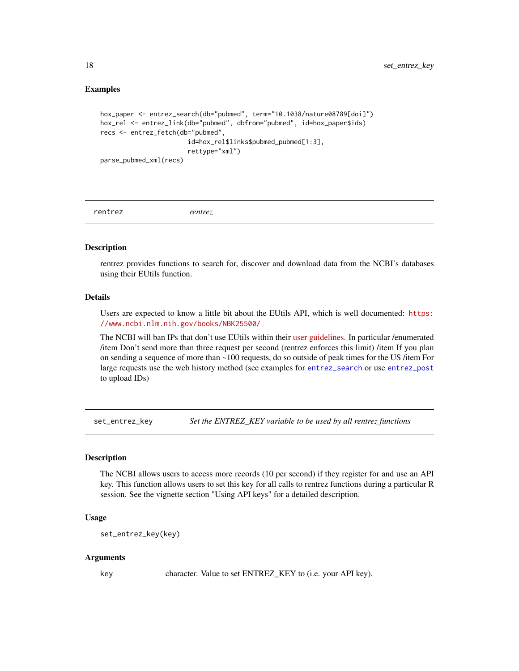# <span id="page-17-0"></span>Examples

```
hox_paper <- entrez_search(db="pubmed", term="10.1038/nature08789[doi]")
hox_rel <- entrez_link(db="pubmed", dbfrom="pubmed", id=hox_paper$ids)
recs <- entrez_fetch(db="pubmed",
                       id=hox_rel$links$pubmed_pubmed[1:3],
                       rettype="xml")
parse_pubmed_xml(recs)
```
rentrez *rentrez*

#### Description

rentrez provides functions to search for, discover and download data from the NCBI's databases using their EUtils function.

#### Details

Users are expected to know a little bit about the EUtils API, which is well documented: [https:](https://www.ncbi.nlm.nih.gov/books/NBK25500/) [//www.ncbi.nlm.nih.gov/books/NBK25500/](https://www.ncbi.nlm.nih.gov/books/NBK25500/)

The NCBI will ban IPs that don't use EUtils within their [user guidelines.](https://www.ncbi.nlm.nih.gov/corehtml/query/static/eutils_help.html) In particular /enumerated /item Don't send more than three request per second (rentrez enforces this limit) /item If you plan on sending a sequence of more than ~100 requests, do so outside of peak times for the US /item For large requests use the web history method (see examples for [entrez\\_search](#page-11-1) or use [entrez\\_post](#page-10-1) to upload IDs)

set\_entrez\_key *Set the ENTREZ\_KEY variable to be used by all rentrez functions*

#### **Description**

The NCBI allows users to access more records (10 per second) if they register for and use an API key. This function allows users to set this key for all calls to rentrez functions during a particular R session. See the vignette section "Using API keys" for a detailed description.

#### Usage

```
set_entrez_key(key)
```
#### Arguments

key character. Value to set ENTREZ\_KEY to (i.e. your API key).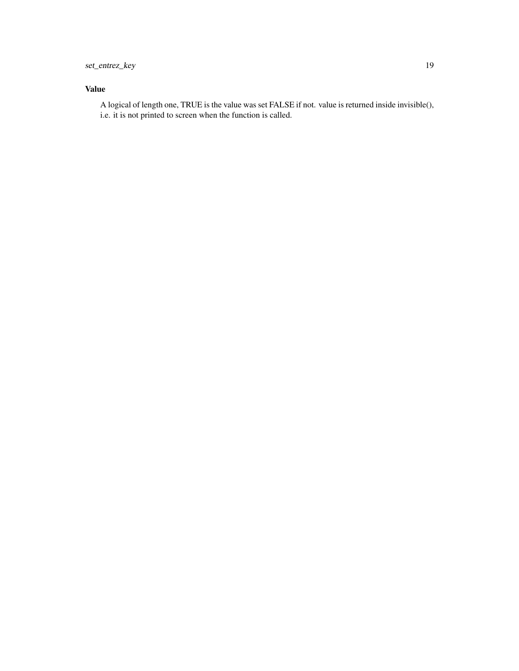# Value

A logical of length one, TRUE is the value was set FALSE if not. value is returned inside invisible(), i.e. it is not printed to screen when the function is called.